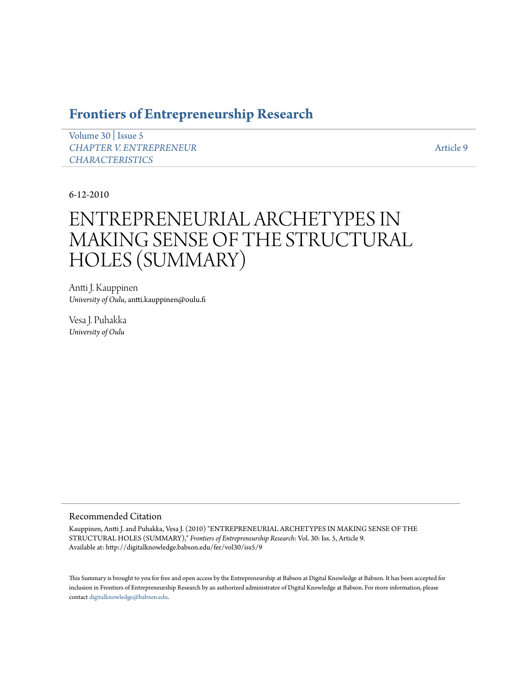# **[Frontiers of Entrepreneurship Research](http://digitalknowledge.babson.edu/fer)**

[Volume 30](http://digitalknowledge.babson.edu/fer/vol30) | [Issue 5](http://digitalknowledge.babson.edu/fer/vol30/iss5) *[CHAPTER V. ENTREPRENEUR](http://digitalknowledge.babson.edu/fer/vol30/iss5) [CHARACTERISTICS](http://digitalknowledge.babson.edu/fer/vol30/iss5)*

[Article 9](http://digitalknowledge.babson.edu/fer/vol30/iss5/9)

6-12-2010

# ENTREPRENEURIAL ARCHETYPES IN MAKING SENSE OF THE STRUCTURAL HOLES (SUMMARY)

Antti J. Kauppinen *University of Oulu*, antti.kauppinen@oulu.fi

Vesa J. Puhakka *University of Oulu*

# Recommended Citation

Kauppinen, Antti J. and Puhakka, Vesa J. (2010) "ENTREPRENEURIAL ARCHETYPES IN MAKING SENSE OF THE STRUCTURAL HOLES (SUMMARY)," *Frontiers of Entrepreneurship Research*: Vol. 30: Iss. 5, Article 9. Available at: http://digitalknowledge.babson.edu/fer/vol30/iss5/9

This Summary is brought to you for free and open access by the Entrepreneurship at Babson at Digital Knowledge at Babson. It has been accepted for inclusion in Frontiers of Entrepreneurship Research by an authorized administrator of Digital Knowledge at Babson. For more information, please contact [digitalknowledge@babson.edu](mailto:digitalknowledge@babson.edu).